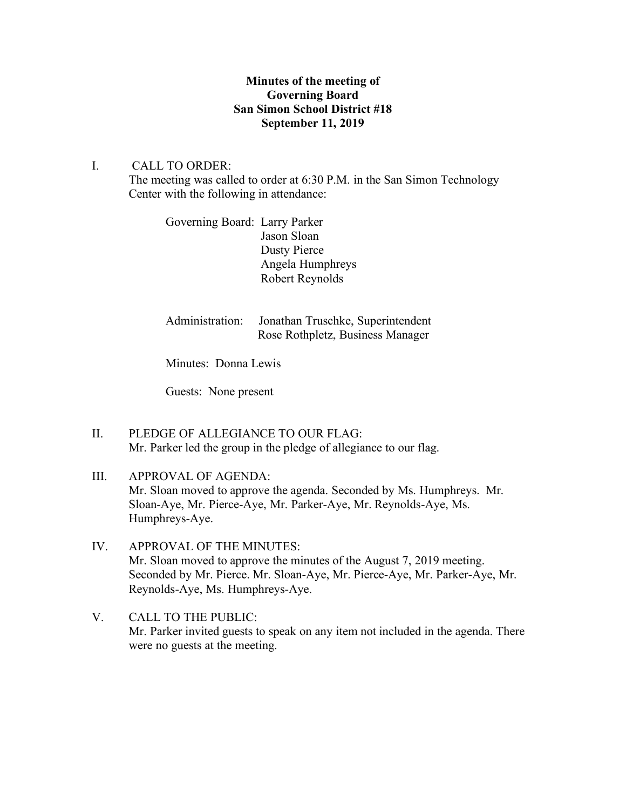# **Minutes of the meeting of Governing Board San Simon School District #18 September 11, 2019**

# I. CALL TO ORDER:

The meeting was called to order at 6:30 P.M. in the San Simon Technology Center with the following in attendance:

Governing Board: Larry Parker Jason Sloan Dusty Pierce Angela Humphreys Robert Reynolds

| Administration: Jonathan Truschke, Superintendent |
|---------------------------------------------------|
| Rose Rothpletz, Business Manager                  |

Minutes: Donna Lewis

Guests: None present

- II. PLEDGE OF ALLEGIANCE TO OUR FLAG: Mr. Parker led the group in the pledge of allegiance to our flag.
- III. APPROVAL OF AGENDA: Mr. Sloan moved to approve the agenda. Seconded by Ms. Humphreys. Mr. Sloan-Aye, Mr. Pierce-Aye, Mr. Parker-Aye, Mr. Reynolds-Aye, Ms. Humphreys-Aye.
- IV. APPROVAL OF THE MINUTES: Mr. Sloan moved to approve the minutes of the August 7, 2019 meeting. Seconded by Mr. Pierce. Mr. Sloan-Aye, Mr. Pierce-Aye, Mr. Parker-Aye, Mr. Reynolds-Aye, Ms. Humphreys-Aye.
- V. CALL TO THE PUBLIC: Mr. Parker invited guests to speak on any item not included in the agenda. There were no guests at the meeting.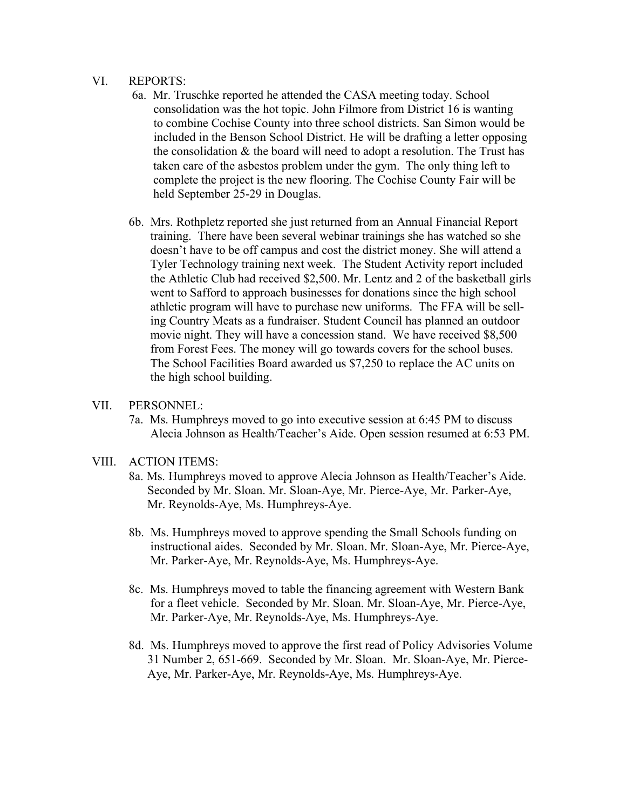#### VI. REPORTS:

- 6a. Mr. Truschke reported he attended the CASA meeting today. School consolidation was the hot topic. John Filmore from District 16 is wanting to combine Cochise County into three school districts. San Simon would be included in the Benson School District. He will be drafting a letter opposing the consolidation  $\&$  the board will need to adopt a resolution. The Trust has taken care of the asbestos problem under the gym. The only thing left to complete the project is the new flooring. The Cochise County Fair will be held September 25-29 in Douglas.
- 6b. Mrs. Rothpletz reported she just returned from an Annual Financial Report training. There have been several webinar trainings she has watched so she doesn't have to be off campus and cost the district money. She will attend a Tyler Technology training next week. The Student Activity report included the Athletic Club had received \$2,500. Mr. Lentz and 2 of the basketball girls went to Safford to approach businesses for donations since the high school athletic program will have to purchase new uniforms. The FFA will be sell ing Country Meats as a fundraiser. Student Council has planned an outdoor movie night. They will have a concession stand. We have received \$8,500 from Forest Fees. The money will go towards covers for the school buses. The School Facilities Board awarded us \$7,250 to replace the AC units on the high school building.

#### VII. PERSONNEL:

7a. Ms. Humphreys moved to go into executive session at 6:45 PM to discuss Alecia Johnson as Health/Teacher's Aide. Open session resumed at 6:53 PM.

# VIII. ACTION ITEMS:

- 8a. Ms. Humphreys moved to approve Alecia Johnson as Health/Teacher's Aide. Seconded by Mr. Sloan. Mr. Sloan-Aye, Mr. Pierce-Aye, Mr. Parker-Aye, Mr. Reynolds-Aye, Ms. Humphreys-Aye.
- 8b. Ms. Humphreys moved to approve spending the Small Schools funding on instructional aides. Seconded by Mr. Sloan. Mr. Sloan-Aye, Mr. Pierce-Aye, Mr. Parker-Aye, Mr. Reynolds-Aye, Ms. Humphreys-Aye.
- 8c. Ms. Humphreys moved to table the financing agreement with Western Bank for a fleet vehicle. Seconded by Mr. Sloan. Mr. Sloan-Aye, Mr. Pierce-Aye, Mr. Parker-Aye, Mr. Reynolds-Aye, Ms. Humphreys-Aye.
- 8d. Ms. Humphreys moved to approve the first read of Policy Advisories Volume 31 Number 2, 651-669. Seconded by Mr. Sloan. Mr. Sloan-Aye, Mr. Pierce- Aye, Mr. Parker-Aye, Mr. Reynolds-Aye, Ms. Humphreys-Aye.